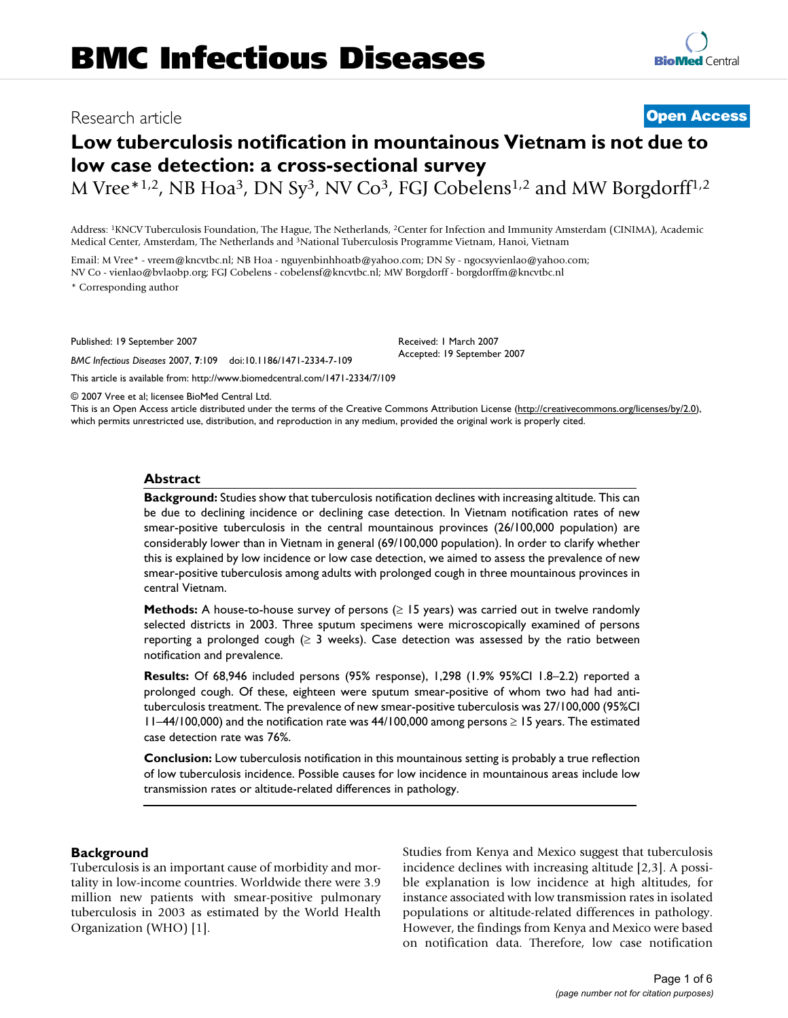# Research article **[Open Access](http://www.biomedcentral.com/info/about/charter/)**

# **Low tuberculosis notification in mountainous Vietnam is not due to low case detection: a cross-sectional survey**

M Vree\*1,2, NB Hoa<sup>3</sup>, DN Sy<sup>3</sup>, NV Co<sup>3</sup>, FGJ Cobelens<sup>1,2</sup> and MW Borgdorff<sup>1,2</sup>

Address: 1KNCV Tuberculosis Foundation, The Hague, The Netherlands, 2Center for Infection and Immunity Amsterdam (CINIMA), Academic Medical Center, Amsterdam, The Netherlands and 3National Tuberculosis Programme Vietnam, Hanoi, Vietnam

Email: M Vree\* - vreem@kncvtbc.nl; NB Hoa - nguyenbinhhoatb@yahoo.com; DN Sy - ngocsyvienlao@yahoo.com; NV Co - vienlao@bvlaobp.org; FGJ Cobelens - cobelensf@kncvtbc.nl; MW Borgdorff - borgdorffm@kncvtbc.nl \* Corresponding author

Published: 19 September 2007

*BMC Infectious Diseases* 2007, **7**:109 doi:10.1186/1471-2334-7-109

[This article is available from: http://www.biomedcentral.com/1471-2334/7/109](http://www.biomedcentral.com/1471-2334/7/109)

© 2007 Vree et al; licensee BioMed Central Ltd.

This is an Open Access article distributed under the terms of the Creative Commons Attribution License [\(http://creativecommons.org/licenses/by/2.0\)](http://creativecommons.org/licenses/by/2.0), which permits unrestricted use, distribution, and reproduction in any medium, provided the original work is properly cited.

Received: 1 March 2007 Accepted: 19 September 2007

#### **Abstract**

**Background:** Studies show that tuberculosis notification declines with increasing altitude. This can be due to declining incidence or declining case detection. In Vietnam notification rates of new smear-positive tuberculosis in the central mountainous provinces (26/100,000 population) are considerably lower than in Vietnam in general (69/100,000 population). In order to clarify whether this is explained by low incidence or low case detection, we aimed to assess the prevalence of new smear-positive tuberculosis among adults with prolonged cough in three mountainous provinces in central Vietnam.

**Methods:** A house-to-house survey of persons (≥ 15 years) was carried out in twelve randomly selected districts in 2003. Three sputum specimens were microscopically examined of persons reporting a prolonged cough ( $\geq$  3 weeks). Case detection was assessed by the ratio between notification and prevalence.

**Results:** Of 68,946 included persons (95% response), 1,298 (1.9% 95%CI 1.8–2.2) reported a prolonged cough. Of these, eighteen were sputum smear-positive of whom two had had antituberculosis treatment. The prevalence of new smear-positive tuberculosis was 27/100,000 (95%CI 11–44/100,000) and the notification rate was 44/100,000 among persons ≥ 15 years. The estimated case detection rate was 76%.

**Conclusion:** Low tuberculosis notification in this mountainous setting is probably a true reflection of low tuberculosis incidence. Possible causes for low incidence in mountainous areas include low transmission rates or altitude-related differences in pathology.

#### **Background**

Tuberculosis is an important cause of morbidity and mortality in low-income countries. Worldwide there were 3.9 million new patients with smear-positive pulmonary tuberculosis in 2003 as estimated by the World Health Organization (WHO) [1].

Studies from Kenya and Mexico suggest that tuberculosis incidence declines with increasing altitude [2,3]. A possible explanation is low incidence at high altitudes, for instance associated with low transmission rates in isolated populations or altitude-related differences in pathology. However, the findings from Kenya and Mexico were based on notification data. Therefore, low case notification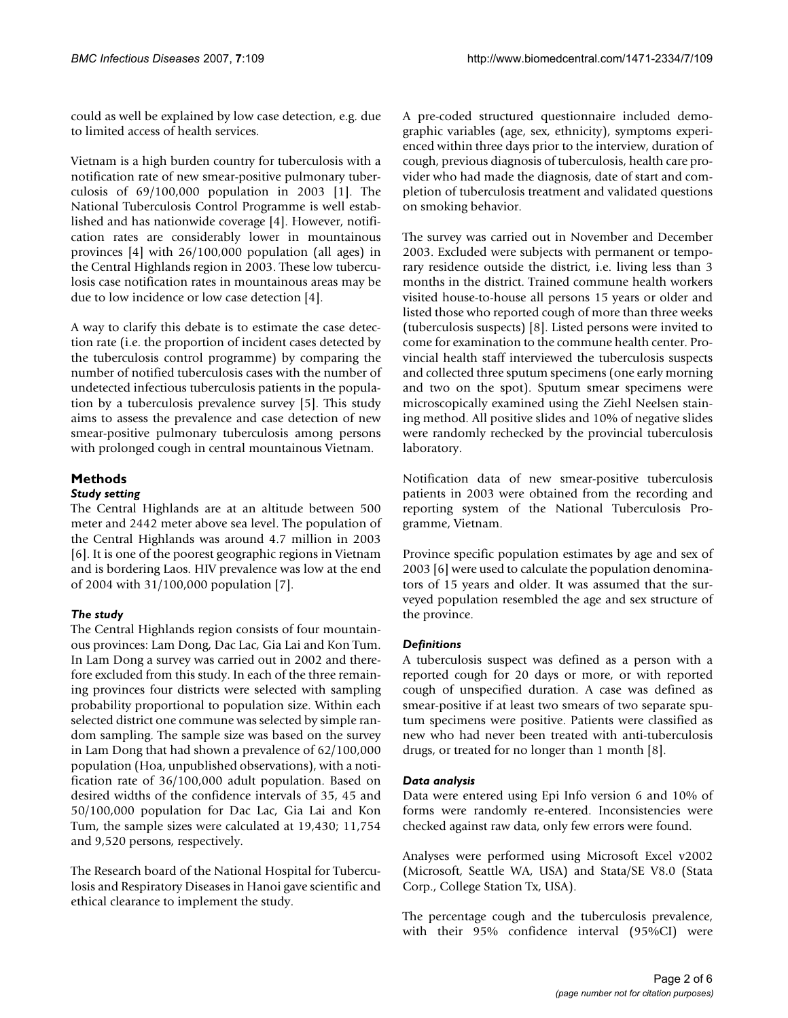could as well be explained by low case detection, e.g. due to limited access of health services.

Vietnam is a high burden country for tuberculosis with a notification rate of new smear-positive pulmonary tuberculosis of 69/100,000 population in 2003 [1]. The National Tuberculosis Control Programme is well established and has nationwide coverage [4]. However, notification rates are considerably lower in mountainous provinces [4] with 26/100,000 population (all ages) in the Central Highlands region in 2003. These low tuberculosis case notification rates in mountainous areas may be due to low incidence or low case detection [4].

A way to clarify this debate is to estimate the case detection rate (i.e. the proportion of incident cases detected by the tuberculosis control programme) by comparing the number of notified tuberculosis cases with the number of undetected infectious tuberculosis patients in the population by a tuberculosis prevalence survey [5]. This study aims to assess the prevalence and case detection of new smear-positive pulmonary tuberculosis among persons with prolonged cough in central mountainous Vietnam.

# **Methods**

#### *Study setting*

The Central Highlands are at an altitude between 500 meter and 2442 meter above sea level. The population of the Central Highlands was around 4.7 million in 2003 [6]. It is one of the poorest geographic regions in Vietnam and is bordering Laos. HIV prevalence was low at the end of 2004 with 31/100,000 population [7].

# *The study*

The Central Highlands region consists of four mountainous provinces: Lam Dong, Dac Lac, Gia Lai and Kon Tum. In Lam Dong a survey was carried out in 2002 and therefore excluded from this study. In each of the three remaining provinces four districts were selected with sampling probability proportional to population size. Within each selected district one commune was selected by simple random sampling. The sample size was based on the survey in Lam Dong that had shown a prevalence of 62/100,000 population (Hoa, unpublished observations), with a notification rate of 36/100,000 adult population. Based on desired widths of the confidence intervals of 35, 45 and 50/100,000 population for Dac Lac, Gia Lai and Kon Tum, the sample sizes were calculated at 19,430; 11,754 and 9,520 persons, respectively.

The Research board of the National Hospital for Tuberculosis and Respiratory Diseases in Hanoi gave scientific and ethical clearance to implement the study.

A pre-coded structured questionnaire included demographic variables (age, sex, ethnicity), symptoms experienced within three days prior to the interview, duration of cough, previous diagnosis of tuberculosis, health care provider who had made the diagnosis, date of start and completion of tuberculosis treatment and validated questions on smoking behavior.

The survey was carried out in November and December 2003. Excluded were subjects with permanent or temporary residence outside the district, i.e. living less than 3 months in the district. Trained commune health workers visited house-to-house all persons 15 years or older and listed those who reported cough of more than three weeks (tuberculosis suspects) [8]. Listed persons were invited to come for examination to the commune health center. Provincial health staff interviewed the tuberculosis suspects and collected three sputum specimens (one early morning and two on the spot). Sputum smear specimens were microscopically examined using the Ziehl Neelsen staining method. All positive slides and 10% of negative slides were randomly rechecked by the provincial tuberculosis laboratory.

Notification data of new smear-positive tuberculosis patients in 2003 were obtained from the recording and reporting system of the National Tuberculosis Programme, Vietnam.

Province specific population estimates by age and sex of 2003 [6] were used to calculate the population denominators of 15 years and older. It was assumed that the surveyed population resembled the age and sex structure of the province.

# *Definitions*

A tuberculosis suspect was defined as a person with a reported cough for 20 days or more, or with reported cough of unspecified duration. A case was defined as smear-positive if at least two smears of two separate sputum specimens were positive. Patients were classified as new who had never been treated with anti-tuberculosis drugs, or treated for no longer than 1 month [8].

#### *Data analysis*

Data were entered using Epi Info version 6 and 10% of forms were randomly re-entered. Inconsistencies were checked against raw data, only few errors were found.

Analyses were performed using Microsoft Excel v2002 (Microsoft, Seattle WA, USA) and Stata/SE V8.0 (Stata Corp., College Station Tx, USA).

The percentage cough and the tuberculosis prevalence, with their 95% confidence interval (95%CI) were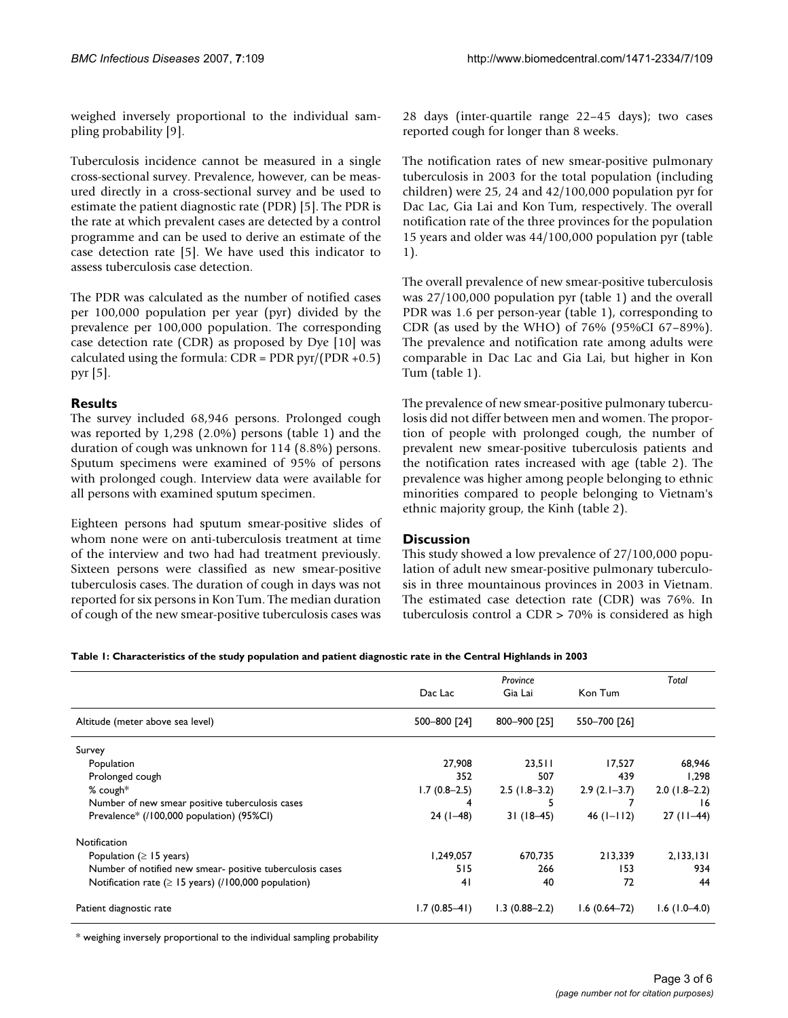weighed inversely proportional to the individual sampling probability [9].

Tuberculosis incidence cannot be measured in a single cross-sectional survey. Prevalence, however, can be measured directly in a cross-sectional survey and be used to estimate the patient diagnostic rate (PDR) [5]. The PDR is the rate at which prevalent cases are detected by a control programme and can be used to derive an estimate of the case detection rate [5]. We have used this indicator to assess tuberculosis case detection.

The PDR was calculated as the number of notified cases per 100,000 population per year (pyr) divided by the prevalence per 100,000 population. The corresponding case detection rate (CDR) as proposed by Dye [10] was calculated using the formula:  $CDR = PDR pyr/(PDR + 0.5)$ pyr [5].

# **Results**

The survey included 68,946 persons. Prolonged cough was reported by 1,298 (2.0%) persons (table 1) and the duration of cough was unknown for 114 (8.8%) persons. Sputum specimens were examined of 95% of persons with prolonged cough. Interview data were available for all persons with examined sputum specimen.

Eighteen persons had sputum smear-positive slides of whom none were on anti-tuberculosis treatment at time of the interview and two had had treatment previously. Sixteen persons were classified as new smear-positive tuberculosis cases. The duration of cough in days was not reported for six persons in Kon Tum. The median duration of cough of the new smear-positive tuberculosis cases was 28 days (inter-quartile range 22–45 days); two cases reported cough for longer than 8 weeks.

The notification rates of new smear-positive pulmonary tuberculosis in 2003 for the total population (including children) were 25, 24 and 42/100,000 population pyr for Dac Lac, Gia Lai and Kon Tum, respectively. The overall notification rate of the three provinces for the population 15 years and older was 44/100,000 population pyr (table 1).

The overall prevalence of new smear-positive tuberculosis was 27/100,000 population pyr (table 1) and the overall PDR was 1.6 per person-year (table 1), corresponding to CDR (as used by the WHO) of 76% (95%CI 67–89%). The prevalence and notification rate among adults were comparable in Dac Lac and Gia Lai, but higher in Kon Tum (table 1).

The prevalence of new smear-positive pulmonary tuberculosis did not differ between men and women. The proportion of people with prolonged cough, the number of prevalent new smear-positive tuberculosis patients and the notification rates increased with age (table 2). The prevalence was higher among people belonging to ethnic minorities compared to people belonging to Vietnam's ethnic majority group, the Kinh (table 2).

# **Discussion**

This study showed a low prevalence of 27/100,000 population of adult new smear-positive pulmonary tuberculosis in three mountainous provinces in 2003 in Vietnam. The estimated case detection rate (CDR) was 76%. In tuberculosis control a CDR > 70% is considered as high

**Table 1: Characteristics of the study population and patient diagnostic rate in the Central Highlands in 2003**

|                                                            | Province       |                   |                    | Total          |
|------------------------------------------------------------|----------------|-------------------|--------------------|----------------|
|                                                            | Dac Lac        | Gia Lai           | Kon Tum            |                |
| Altitude (meter above sea level)                           | 500-800 [24]   | 800-900 [25]      | 550-700 [26]       |                |
| Survey                                                     |                |                   |                    |                |
| Population                                                 | 27,908         | 23,511            | 17.527             | 68,946         |
| Prolonged cough                                            | 352            | 507               | 439                | 1.298          |
| $%$ cough*                                                 | $1.7(0.8-2.5)$ | $2.5(1.8-3.2)$    | $2.9(2.1-3.7)$     | $2.0(1.8-2.2)$ |
| Number of new smear positive tuberculosis cases            | 4              |                   |                    | 16             |
| Prevalence* (/100,000 population) (95%Cl)                  | $24(1-48)$     | $31(18-45)$       | $46$ ( $1 - 112$ ) | $27(11-44)$    |
| Notification                                               |                |                   |                    |                |
| Population ( $\geq$ 15 years)                              | I, 249, 057    | 670.735           | 213.339            | 2,133,131      |
| Number of notified new smear-positive tuberculosis cases   | 515            | 266               | 153                | 934            |
| Notification rate ( $\geq$ 15 years) (/100,000 population) | 41             | 40                | 72                 | 44             |
| Patient diagnostic rate                                    | $1.7(0.85-41)$ | $1.3(0.88 - 2.2)$ | $1.6(0.64 - 72)$   | $1.6(1.0-4.0)$ |

\* weighing inversely proportional to the individual sampling probability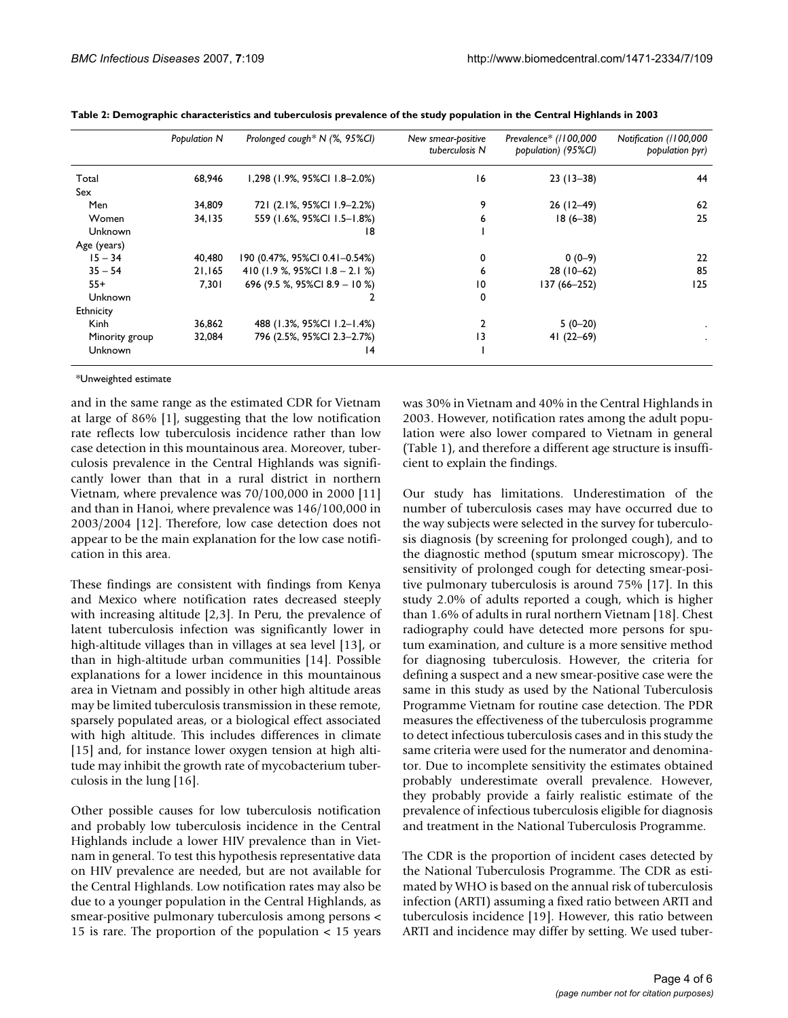|                | Population N | Prolonged cough* N (%, 95%CI)    | New smear-positive<br>tuberculosis N | Prevalence* (/100,000<br>bobulation) (95%CI) | Notification (/100,000<br>population pyr) |
|----------------|--------------|----------------------------------|--------------------------------------|----------------------------------------------|-------------------------------------------|
| Total          | 68,946       | 1,298 (1.9%, 95%CI 1.8-2.0%)     | 16                                   | $23(13-38)$                                  | 44                                        |
| Sex            |              |                                  |                                      |                                              |                                           |
| Men            | 34,809       | 721 (2.1%, 95%CI 1.9-2.2%)       | 9                                    | $26(12-49)$                                  | 62                                        |
| Women          | 34,135       | 559 (1.6%, 95%CI 1.5-1.8%)       | 6                                    | $18(6 - 38)$                                 | 25                                        |
| Unknown        |              | 18                               |                                      |                                              |                                           |
| Age (years)    |              |                                  |                                      |                                              |                                           |
| $15 - 34$      | 40,480       | 190 (0.47%, 95%CI 0.41-0.54%)    | 0                                    | $0(0-9)$                                     | 22                                        |
| $35 - 54$      | 21,165       | 410 (1.9 %, 95%Cl $1.8 - 2.1$ %) | 6                                    | $28(10-62)$                                  | 85                                        |
| $55+$          | 7,301        | 696 (9.5 %, 95%CI 8.9 - 10 %)    | 10                                   | 137 (66–252)                                 | 125                                       |
| Unknown        |              |                                  | 0                                    |                                              |                                           |
| Ethnicity      |              |                                  |                                      |                                              |                                           |
| <b>Kinh</b>    | 36,862       | 488 (1.3%, 95%CI 1.2-1.4%)       | 2                                    | $5(0-20)$                                    |                                           |
| Minority group | 32,084       | 796 (2.5%, 95%Cl 2.3-2.7%)       | $\overline{13}$                      | 41 $(22-69)$                                 |                                           |
| Unknown        |              | 14                               |                                      |                                              |                                           |

**Table 2: Demographic characteristics and tuberculosis prevalence of the study population in the Central Highlands in 2003**

\*Unweighted estimate

and in the same range as the estimated CDR for Vietnam at large of 86% [1], suggesting that the low notification rate reflects low tuberculosis incidence rather than low case detection in this mountainous area. Moreover, tuberculosis prevalence in the Central Highlands was significantly lower than that in a rural district in northern Vietnam, where prevalence was 70/100,000 in 2000 [11] and than in Hanoi, where prevalence was 146/100,000 in 2003/2004 [12]. Therefore, low case detection does not appear to be the main explanation for the low case notification in this area.

These findings are consistent with findings from Kenya and Mexico where notification rates decreased steeply with increasing altitude [2,3]. In Peru, the prevalence of latent tuberculosis infection was significantly lower in high-altitude villages than in villages at sea level [13], or than in high-altitude urban communities [14]. Possible explanations for a lower incidence in this mountainous area in Vietnam and possibly in other high altitude areas may be limited tuberculosis transmission in these remote, sparsely populated areas, or a biological effect associated with high altitude. This includes differences in climate [15] and, for instance lower oxygen tension at high altitude may inhibit the growth rate of mycobacterium tuberculosis in the lung [16].

Other possible causes for low tuberculosis notification and probably low tuberculosis incidence in the Central Highlands include a lower HIV prevalence than in Vietnam in general. To test this hypothesis representative data on HIV prevalence are needed, but are not available for the Central Highlands. Low notification rates may also be due to a younger population in the Central Highlands, as smear-positive pulmonary tuberculosis among persons < 15 is rare. The proportion of the population < 15 years

was 30% in Vietnam and 40% in the Central Highlands in 2003. However, notification rates among the adult population were also lower compared to Vietnam in general (Table 1), and therefore a different age structure is insufficient to explain the findings.

Our study has limitations. Underestimation of the number of tuberculosis cases may have occurred due to the way subjects were selected in the survey for tuberculosis diagnosis (by screening for prolonged cough), and to the diagnostic method (sputum smear microscopy). The sensitivity of prolonged cough for detecting smear-positive pulmonary tuberculosis is around 75% [17]. In this study 2.0% of adults reported a cough, which is higher than 1.6% of adults in rural northern Vietnam [18]. Chest radiography could have detected more persons for sputum examination, and culture is a more sensitive method for diagnosing tuberculosis. However, the criteria for defining a suspect and a new smear-positive case were the same in this study as used by the National Tuberculosis Programme Vietnam for routine case detection. The PDR measures the effectiveness of the tuberculosis programme to detect infectious tuberculosis cases and in this study the same criteria were used for the numerator and denominator. Due to incomplete sensitivity the estimates obtained probably underestimate overall prevalence. However, they probably provide a fairly realistic estimate of the prevalence of infectious tuberculosis eligible for diagnosis and treatment in the National Tuberculosis Programme.

The CDR is the proportion of incident cases detected by the National Tuberculosis Programme. The CDR as estimated by WHO is based on the annual risk of tuberculosis infection (ARTI) assuming a fixed ratio between ARTI and tuberculosis incidence [19]. However, this ratio between ARTI and incidence may differ by setting. We used tuber-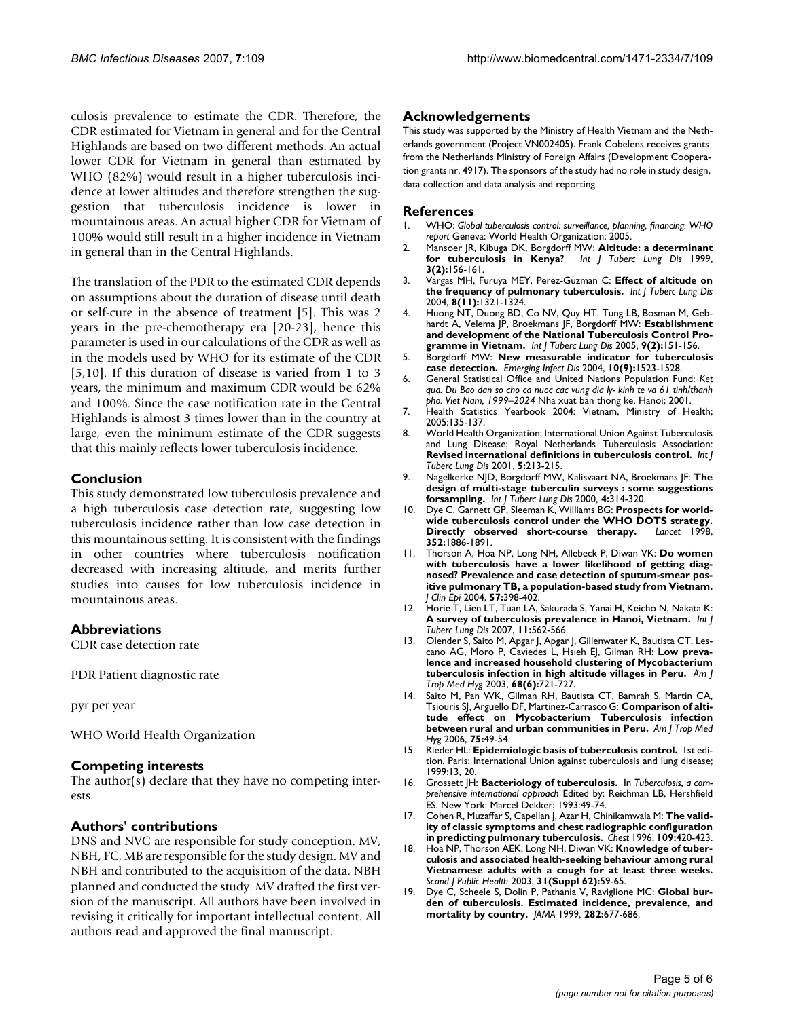culosis prevalence to estimate the CDR. Therefore, the CDR estimated for Vietnam in general and for the Central Highlands are based on two different methods. An actual lower CDR for Vietnam in general than estimated by WHO (82%) would result in a higher tuberculosis incidence at lower altitudes and therefore strengthen the suggestion that tuberculosis incidence is lower in mountainous areas. An actual higher CDR for Vietnam of 100% would still result in a higher incidence in Vietnam in general than in the Central Highlands.

The translation of the PDR to the estimated CDR depends on assumptions about the duration of disease until death or self-cure in the absence of treatment [5]. This was 2 years in the pre-chemotherapy era [20-23], hence this parameter is used in our calculations of the CDR as well as in the models used by WHO for its estimate of the CDR [5,10]. If this duration of disease is varied from 1 to 3 years, the minimum and maximum CDR would be 62% and 100%. Since the case notification rate in the Central Highlands is almost 3 times lower than in the country at large, even the minimum estimate of the CDR suggests that this mainly reflects lower tuberculosis incidence.

#### **Conclusion**

This study demonstrated low tuberculosis prevalence and a high tuberculosis case detection rate, suggesting low tuberculosis incidence rather than low case detection in this mountainous setting. It is consistent with the findings in other countries where tuberculosis notification decreased with increasing altitude, and merits further studies into causes for low tuberculosis incidence in mountainous areas.

#### **Abbreviations**

CDR case detection rate

PDR Patient diagnostic rate

pyr per year

WHO World Health Organization

#### **Competing interests**

The author(s) declare that they have no competing interests.

#### **Authors' contributions**

DNS and NVC are responsible for study conception. MV, NBH, FC, MB are responsible for the study design. MV and NBH and contributed to the acquisition of the data. NBH planned and conducted the study. MV drafted the first version of the manuscript. All authors have been involved in revising it critically for important intellectual content. All authors read and approved the final manuscript.

#### **Acknowledgements**

This study was supported by the Ministry of Health Vietnam and the Netherlands government (Project VN002405). Frank Cobelens receives grants from the Netherlands Ministry of Foreign Affairs (Development Cooperation grants nr. 4917). The sponsors of the study had no role in study design, data collection and data analysis and reporting.

#### **References**

- 1. WHO: *Global tuberculosis control: surveillance, planning, financing. WHO report* Geneva: World Health Organization; 2005.
- 2. Mansoer JR, Kibuga DK, Borgdorff MW: **[Altitude: a determinant](http://www.ncbi.nlm.nih.gov/entrez/query.fcgi?cmd=Retrieve&db=PubMed&dopt=Abstract&list_uids=10091883) [for tuberculosis in Kenya?](http://www.ncbi.nlm.nih.gov/entrez/query.fcgi?cmd=Retrieve&db=PubMed&dopt=Abstract&list_uids=10091883)** *Int J Tuberc Lung Dis* 1999, **3(2):**156-161.
- 3. Vargas MH, Furuya MEY, Perez-Guzman C: **[Effect of altitude on](http://www.ncbi.nlm.nih.gov/entrez/query.fcgi?cmd=Retrieve&db=PubMed&dopt=Abstract&list_uids=15581199) [the frequency of pulmonary tuberculosis.](http://www.ncbi.nlm.nih.gov/entrez/query.fcgi?cmd=Retrieve&db=PubMed&dopt=Abstract&list_uids=15581199)** *Int J Tuberc Lung Dis* 2004, **8(11):**1321-1324.
- 4. Huong NT, Duong BD, Co NV, Quy HT, Tung LB, Bosman M, Gebhardt A, Velema JP, Broekmans JF, Borgdorff MW: **[Establishment](http://www.ncbi.nlm.nih.gov/entrez/query.fcgi?cmd=Retrieve&db=PubMed&dopt=Abstract&list_uids=15732733) [and development of the National Tuberculosis Control Pro](http://www.ncbi.nlm.nih.gov/entrez/query.fcgi?cmd=Retrieve&db=PubMed&dopt=Abstract&list_uids=15732733)[gramme in Vietnam.](http://www.ncbi.nlm.nih.gov/entrez/query.fcgi?cmd=Retrieve&db=PubMed&dopt=Abstract&list_uids=15732733)** *Int J Tuberc Lung Dis* 2005, **9(2):**151-156.
- 5. Borgdorff MW: **[New measurable indicator for tuberculosis](http://www.ncbi.nlm.nih.gov/entrez/query.fcgi?cmd=Retrieve&db=PubMed&dopt=Abstract&list_uids=15498151) [case detection.](http://www.ncbi.nlm.nih.gov/entrez/query.fcgi?cmd=Retrieve&db=PubMed&dopt=Abstract&list_uids=15498151)** *Emerging Infect Dis* 2004, **10(9):**1523-1528.
- 6. General Statistical Office and United Nations Population Fund: *Ket qua. Du Bao dan so cho ca nuoc cac vung dia ly- kinh te va 61 tinh/thanh pho. Viet Nam, 1999–2024* Nha xuat ban thong ke, Hanoi; 2001.
- 7. Health Statistics Yearbook 2004: Vietnam, Ministry of Health; 2005:135-137.
- 8. World Health Organization; International Union Against Tuberculosis and Lung Disease; Royal Netherlands Tuberculosis Association: **[Revised international definitions in tuberculosis control.](http://www.ncbi.nlm.nih.gov/entrez/query.fcgi?cmd=Retrieve&db=PubMed&dopt=Abstract&list_uids=11326818)** *Int J Tuberc Lung Dis* 2001, **5:**213-215.
- 9. Nagelkerke NJD, Borgdorff MW, Kalisvaart NA, Broekmans JF: **[The](http://www.ncbi.nlm.nih.gov/entrez/query.fcgi?cmd=Retrieve&db=PubMed&dopt=Abstract&list_uids=10777079) [design of multi-stage tuberculin surveys : some suggestions](http://www.ncbi.nlm.nih.gov/entrez/query.fcgi?cmd=Retrieve&db=PubMed&dopt=Abstract&list_uids=10777079) [forsampling.](http://www.ncbi.nlm.nih.gov/entrez/query.fcgi?cmd=Retrieve&db=PubMed&dopt=Abstract&list_uids=10777079)** *Int J Tuberc Lung Dis* 2000, **4:**314-320.
- 10. Dye C, Garnett GP, Sleeman K, Williams BG: **[Prospects for world](http://www.ncbi.nlm.nih.gov/entrez/query.fcgi?cmd=Retrieve&db=PubMed&dopt=Abstract&list_uids=9863786)[wide tuberculosis control under the WHO DOTS strategy.](http://www.ncbi.nlm.nih.gov/entrez/query.fcgi?cmd=Retrieve&db=PubMed&dopt=Abstract&list_uids=9863786) [Directly observed short-course therapy.](http://www.ncbi.nlm.nih.gov/entrez/query.fcgi?cmd=Retrieve&db=PubMed&dopt=Abstract&list_uids=9863786) 352:**1886-1891.
- 11. Thorson A, Hoa NP, Long NH, Allebeck P, Diwan VK: **Do women with tuberculosis have a lower likelihood of getting diagnosed? Prevalence and case detection of sputum-smear positive pulmonary TB, a population-based study from Vietnam.** *J Clin Epi* 2004, **57:**398-402.
- 12. Horie T, Lien LT, Tuan LA, Sakurada S, Yanai H, Keicho N, Nakata K: **[A survey of tuberculosis prevalence in Hanoi, Vietnam.](http://www.ncbi.nlm.nih.gov/entrez/query.fcgi?cmd=Retrieve&db=PubMed&dopt=Abstract&list_uids=17439682)** *Int J Tuberc Lung Dis* 2007, **11:**562-566.
- 13. Olender S, Saito M, Apgar J, Apgar J, Gillenwater K, Bautista CT, Lescano AG, Moro P, Caviedes L, Hsieh EJ, Gilman RH: **[Low preva](http://www.ncbi.nlm.nih.gov/entrez/query.fcgi?cmd=Retrieve&db=PubMed&dopt=Abstract&list_uids=12887034)[lence and increased household clustering of Mycobacterium](http://www.ncbi.nlm.nih.gov/entrez/query.fcgi?cmd=Retrieve&db=PubMed&dopt=Abstract&list_uids=12887034) [tuberculosis infection in high altitude villages in Peru.](http://www.ncbi.nlm.nih.gov/entrez/query.fcgi?cmd=Retrieve&db=PubMed&dopt=Abstract&list_uids=12887034)** *Am J Trop Med Hyg* 2003, **68(6):**721-727.
- 14. Saito M, Pan WK, Gilman RH, Bautista CT, Bamrah S, Martin CA, Tsiouris SJ, Arguello DF, Martinez-Carrasco G: **[Comparison of alti](http://www.ncbi.nlm.nih.gov/entrez/query.fcgi?cmd=Retrieve&db=PubMed&dopt=Abstract&list_uids=16837708)[tude effect on Mycobacterium Tuberculosis infection](http://www.ncbi.nlm.nih.gov/entrez/query.fcgi?cmd=Retrieve&db=PubMed&dopt=Abstract&list_uids=16837708) [between rural and urban communities in Peru.](http://www.ncbi.nlm.nih.gov/entrez/query.fcgi?cmd=Retrieve&db=PubMed&dopt=Abstract&list_uids=16837708)** *Am J Trop Med Hyg* 2006, **75:**49-54.
- 15. Rieder HL: **Epidemiologic basis of tuberculosis control.** 1st edition. Paris: International Union against tuberculosis and lung disease; 1999:13, 20.
- 16. Grossett JH: **Bacteriology of tuberculosis.** In *Tuberculosis, a comprehensive international approach* Edited by: Reichman LB, Hershfield ES. New York: Marcel Dekker; 1993:49-74.
- 17. Cohen R, Muzaffar S, Capellan J, Azar H, Chinikamwala M: **[The valid](http://www.ncbi.nlm.nih.gov/entrez/query.fcgi?cmd=Retrieve&db=PubMed&dopt=Abstract&list_uids=8620716)[ity of classic symptoms and chest radiographic configuration](http://www.ncbi.nlm.nih.gov/entrez/query.fcgi?cmd=Retrieve&db=PubMed&dopt=Abstract&list_uids=8620716) [in predicting pulmonary tuberculosis.](http://www.ncbi.nlm.nih.gov/entrez/query.fcgi?cmd=Retrieve&db=PubMed&dopt=Abstract&list_uids=8620716)** *Chest* 1996, **109:**420-423.
- 18. Hoa NP, Thorson AEK, Long NH, Diwan VK: **Knowledge of tuberculosis and associated health-seeking behaviour among rural Vietnamese adults with a cough for at least three weeks.** *Scand J Public Health* 2003, **31(Suppl 62):**59-65.
- Dye C, Scheele S, Dolin P, Pathania V, Raviglione MC: [Global bur](http://www.ncbi.nlm.nih.gov/entrez/query.fcgi?cmd=Retrieve&db=PubMed&dopt=Abstract&list_uids=10517722)**[den of tuberculosis. Estimated incidence, prevalence, and](http://www.ncbi.nlm.nih.gov/entrez/query.fcgi?cmd=Retrieve&db=PubMed&dopt=Abstract&list_uids=10517722) [mortality by country.](http://www.ncbi.nlm.nih.gov/entrez/query.fcgi?cmd=Retrieve&db=PubMed&dopt=Abstract&list_uids=10517722)** *JAMA* 1999, **282:**677-686.